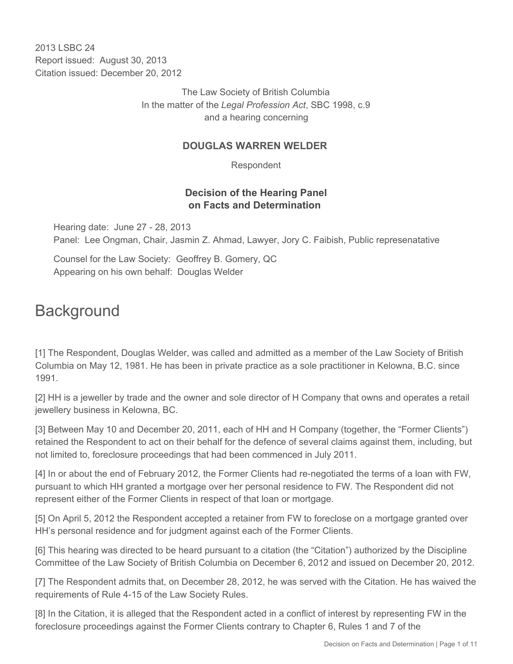2013 LSBC 24 Report issued: August 30, 2013 Citation issued: December 20, 2012

> The Law Society of British Columbia In the matter of the *Legal Profession Act*, SBC 1998, c.9 and a hearing concerning

#### **DOUGLAS WARREN WELDER**

Respondent

## **Decision of the Hearing Panel on Facts and Determination**

Hearing date: June 27 - 28, 2013 Panel: Lee Ongman, Chair, Jasmin Z. Ahmad, Lawyer, Jory C. Faibish, Public represenatative

Counsel for the Law Society: Geoffrey B. Gomery, QC Appearing on his own behalf: Douglas Welder

# **Background**

[1] The Respondent, Douglas Welder, was called and admitted as a member of the Law Society of British Columbia on May 12, 1981. He has been in private practice as a sole practitioner in Kelowna, B.C. since 1991.

[2] HH is a jeweller by trade and the owner and sole director of H Company that owns and operates a retail jewellery business in Kelowna, BC.

[3] Between May 10 and December 20, 2011, each of HH and H Company (together, the "Former Clients") retained the Respondent to act on their behalf for the defence of several claims against them, including, but not limited to, foreclosure proceedings that had been commenced in July 2011.

[4] In or about the end of February 2012, the Former Clients had re-negotiated the terms of a loan with FW, pursuant to which HH granted a mortgage over her personal residence to FW. The Respondent did not represent either of the Former Clients in respect of that loan or mortgage.

[5] On April 5, 2012 the Respondent accepted a retainer from FW to foreclose on a mortgage granted over HH's personal residence and for judgment against each of the Former Clients.

[6] This hearing was directed to be heard pursuant to a citation (the "Citation") authorized by the Discipline Committee of the Law Society of British Columbia on December 6, 2012 and issued on December 20, 2012.

[7] The Respondent admits that, on December 28, 2012, he was served with the Citation. He has waived the requirements of Rule 4-15 of the Law Society Rules.

[8] In the Citation, it is alleged that the Respondent acted in a conflict of interest by representing FW in the foreclosure proceedings against the Former Clients contrary to Chapter 6, Rules 1 and 7 of the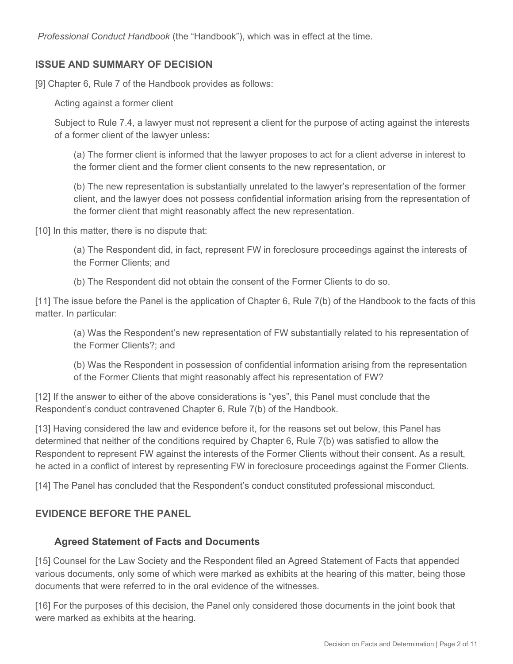*Professional Conduct Handbook* (the "Handbook"), which was in effect at the time.

#### **ISSUE AND SUMMARY OF DECISION**

[9] Chapter 6, Rule 7 of the Handbook provides as follows:

Acting against a former client

Subject to Rule 7.4, a lawyer must not represent a client for the purpose of acting against the interests of a former client of the lawyer unless:

(a) The former client is informed that the lawyer proposes to act for a client adverse in interest to the former client and the former client consents to the new representation, or

(b) The new representation is substantially unrelated to the lawyer's representation of the former client, and the lawyer does not possess confidential information arising from the representation of the former client that might reasonably affect the new representation.

[10] In this matter, there is no dispute that:

(a) The Respondent did, in fact, represent FW in foreclosure proceedings against the interests of the Former Clients; and

(b) The Respondent did not obtain the consent of the Former Clients to do so.

[11] The issue before the Panel is the application of Chapter 6, Rule 7(b) of the Handbook to the facts of this matter. In particular:

(a) Was the Respondent's new representation of FW substantially related to his representation of the Former Clients?; and

(b) Was the Respondent in possession of confidential information arising from the representation of the Former Clients that might reasonably affect his representation of FW?

[12] If the answer to either of the above considerations is "yes", this Panel must conclude that the Respondent's conduct contravened Chapter 6, Rule 7(b) of the Handbook.

[13] Having considered the law and evidence before it, for the reasons set out below, this Panel has determined that neither of the conditions required by Chapter 6, Rule 7(b) was satisfied to allow the Respondent to represent FW against the interests of the Former Clients without their consent. As a result, he acted in a conflict of interest by representing FW in foreclosure proceedings against the Former Clients.

[14] The Panel has concluded that the Respondent's conduct constituted professional misconduct.

#### **EVIDENCE BEFORE THE PANEL**

#### **Agreed Statement of Facts and Documents**

[15] Counsel for the Law Society and the Respondent filed an Agreed Statement of Facts that appended various documents, only some of which were marked as exhibits at the hearing of this matter, being those documents that were referred to in the oral evidence of the witnesses.

[16] For the purposes of this decision, the Panel only considered those documents in the joint book that were marked as exhibits at the hearing.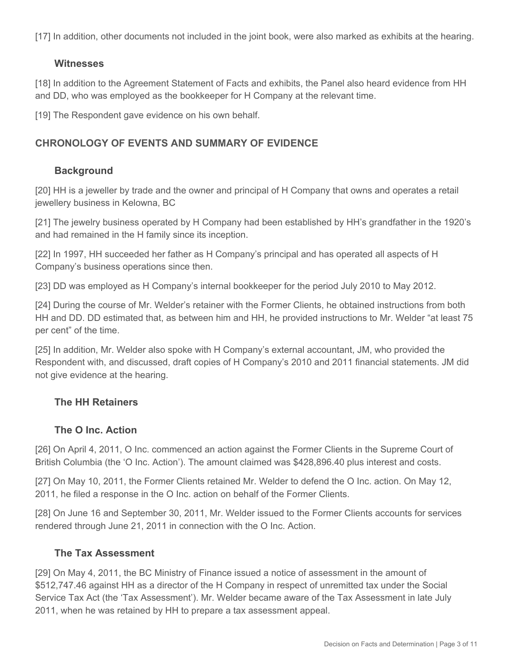[17] In addition, other documents not included in the joint book, were also marked as exhibits at the hearing.

#### **Witnesses**

[18] In addition to the Agreement Statement of Facts and exhibits, the Panel also heard evidence from HH and DD, who was employed as the bookkeeper for H Company at the relevant time.

[19] The Respondent gave evidence on his own behalf.

# **CHRONOLOGY OF EVENTS AND SUMMARY OF EVIDENCE**

# **Background**

[20] HH is a jeweller by trade and the owner and principal of H Company that owns and operates a retail jewellery business in Kelowna, BC

[21] The jewelry business operated by H Company had been established by HH's grandfather in the 1920's and had remained in the H family since its inception.

[22] In 1997, HH succeeded her father as H Company's principal and has operated all aspects of H Company's business operations since then.

[23] DD was employed as H Company's internal bookkeeper for the period July 2010 to May 2012.

[24] During the course of Mr. Welder's retainer with the Former Clients, he obtained instructions from both HH and DD. DD estimated that, as between him and HH, he provided instructions to Mr. Welder "at least 75 per cent" of the time.

[25] In addition, Mr. Welder also spoke with H Company's external accountant, JM, who provided the Respondent with, and discussed, draft copies of H Company's 2010 and 2011 financial statements. JM did not give evidence at the hearing.

## **The HH Retainers**

## **The O Inc. Action**

[26] On April 4, 2011, O Inc. commenced an action against the Former Clients in the Supreme Court of British Columbia (the 'O Inc. Action'). The amount claimed was \$428,896.40 plus interest and costs.

[27] On May 10, 2011, the Former Clients retained Mr. Welder to defend the O Inc. action. On May 12, 2011, he filed a response in the O Inc. action on behalf of the Former Clients.

[28] On June 16 and September 30, 2011, Mr. Welder issued to the Former Clients accounts for services rendered through June 21, 2011 in connection with the O Inc. Action.

## **The Tax Assessment**

[29] On May 4, 2011, the BC Ministry of Finance issued a notice of assessment in the amount of \$512,747.46 against HH as a director of the H Company in respect of unremitted tax under the Social Service Tax Act (the 'Tax Assessment'). Mr. Welder became aware of the Tax Assessment in late July 2011, when he was retained by HH to prepare a tax assessment appeal.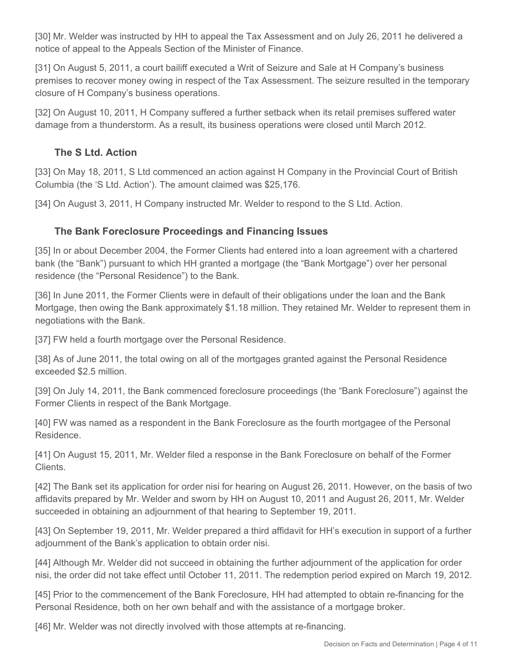[30] Mr. Welder was instructed by HH to appeal the Tax Assessment and on July 26, 2011 he delivered a notice of appeal to the Appeals Section of the Minister of Finance.

[31] On August 5, 2011, a court bailiff executed a Writ of Seizure and Sale at H Company's business premises to recover money owing in respect of the Tax Assessment. The seizure resulted in the temporary closure of H Company's business operations.

[32] On August 10, 2011, H Company suffered a further setback when its retail premises suffered water damage from a thunderstorm. As a result, its business operations were closed until March 2012.

# **The S Ltd. Action**

[33] On May 18, 2011, S Ltd commenced an action against H Company in the Provincial Court of British Columbia (the 'S Ltd. Action'). The amount claimed was \$25,176.

[34] On August 3, 2011, H Company instructed Mr. Welder to respond to the S Ltd. Action.

# **The Bank Foreclosure Proceedings and Financing Issues**

[35] In or about December 2004, the Former Clients had entered into a loan agreement with a chartered bank (the "Bank") pursuant to which HH granted a mortgage (the "Bank Mortgage") over her personal residence (the "Personal Residence") to the Bank.

[36] In June 2011, the Former Clients were in default of their obligations under the loan and the Bank Mortgage, then owing the Bank approximately \$1.18 million. They retained Mr. Welder to represent them in negotiations with the Bank.

[37] FW held a fourth mortgage over the Personal Residence.

[38] As of June 2011, the total owing on all of the mortgages granted against the Personal Residence exceeded \$2.5 million.

[39] On July 14, 2011, the Bank commenced foreclosure proceedings (the "Bank Foreclosure") against the Former Clients in respect of the Bank Mortgage.

[40] FW was named as a respondent in the Bank Foreclosure as the fourth mortgagee of the Personal Residence.

[41] On August 15, 2011, Mr. Welder filed a response in the Bank Foreclosure on behalf of the Former Clients.

[42] The Bank set its application for order nisi for hearing on August 26, 2011. However, on the basis of two affidavits prepared by Mr. Welder and sworn by HH on August 10, 2011 and August 26, 2011, Mr. Welder succeeded in obtaining an adjournment of that hearing to September 19, 2011.

[43] On September 19, 2011, Mr. Welder prepared a third affidavit for HH's execution in support of a further adjournment of the Bank's application to obtain order nisi.

[44] Although Mr. Welder did not succeed in obtaining the further adjournment of the application for order nisi, the order did not take effect until October 11, 2011. The redemption period expired on March 19, 2012.

[45] Prior to the commencement of the Bank Foreclosure, HH had attempted to obtain re-financing for the Personal Residence, both on her own behalf and with the assistance of a mortgage broker.

[46] Mr. Welder was not directly involved with those attempts at re-financing.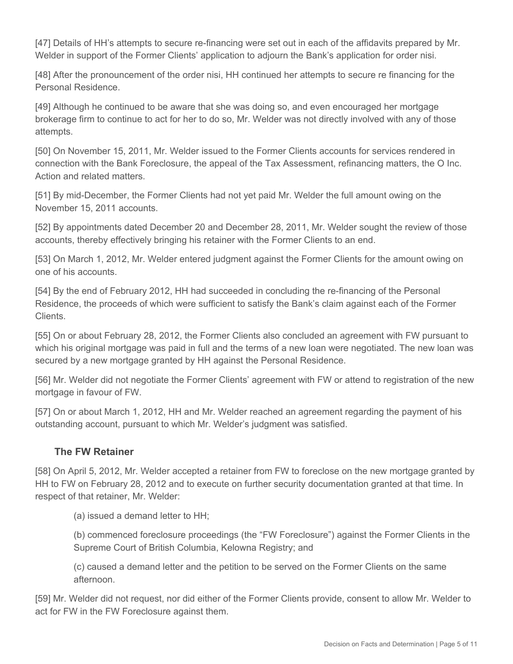[47] Details of HH's attempts to secure re-financing were set out in each of the affidavits prepared by Mr. Welder in support of the Former Clients' application to adjourn the Bank's application for order nisi.

[48] After the pronouncement of the order nisi, HH continued her attempts to secure re financing for the Personal Residence.

[49] Although he continued to be aware that she was doing so, and even encouraged her mortgage brokerage firm to continue to act for her to do so, Mr. Welder was not directly involved with any of those attempts.

[50] On November 15, 2011, Mr. Welder issued to the Former Clients accounts for services rendered in connection with the Bank Foreclosure, the appeal of the Tax Assessment, refinancing matters, the O Inc. Action and related matters.

[51] By mid-December, the Former Clients had not yet paid Mr. Welder the full amount owing on the November 15, 2011 accounts.

[52] By appointments dated December 20 and December 28, 2011, Mr. Welder sought the review of those accounts, thereby effectively bringing his retainer with the Former Clients to an end.

[53] On March 1, 2012, Mr. Welder entered judgment against the Former Clients for the amount owing on one of his accounts.

[54] By the end of February 2012, HH had succeeded in concluding the re-financing of the Personal Residence, the proceeds of which were sufficient to satisfy the Bank's claim against each of the Former Clients.

[55] On or about February 28, 2012, the Former Clients also concluded an agreement with FW pursuant to which his original mortgage was paid in full and the terms of a new loan were negotiated. The new loan was secured by a new mortgage granted by HH against the Personal Residence.

[56] Mr. Welder did not negotiate the Former Clients' agreement with FW or attend to registration of the new mortgage in favour of FW.

[57] On or about March 1, 2012, HH and Mr. Welder reached an agreement regarding the payment of his outstanding account, pursuant to which Mr. Welder's judgment was satisfied.

## **The FW Retainer**

[58] On April 5, 2012, Mr. Welder accepted a retainer from FW to foreclose on the new mortgage granted by HH to FW on February 28, 2012 and to execute on further security documentation granted at that time. In respect of that retainer, Mr. Welder:

(a) issued a demand letter to HH;

(b) commenced foreclosure proceedings (the "FW Foreclosure") against the Former Clients in the Supreme Court of British Columbia, Kelowna Registry; and

(c) caused a demand letter and the petition to be served on the Former Clients on the same afternoon.

[59] Mr. Welder did not request, nor did either of the Former Clients provide, consent to allow Mr. Welder to act for FW in the FW Foreclosure against them.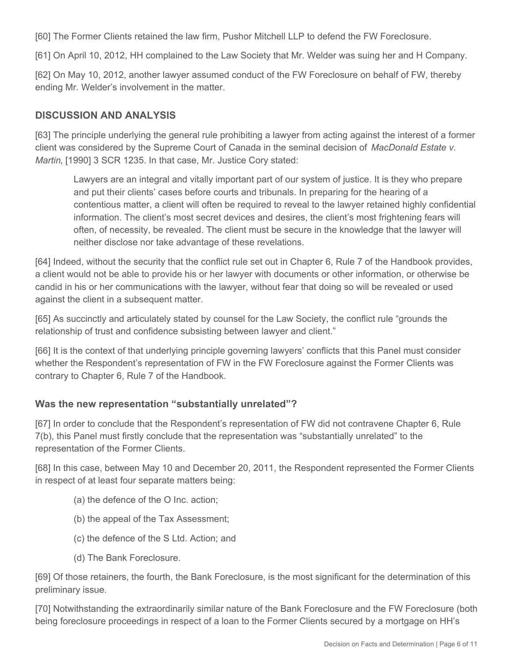[60] The Former Clients retained the law firm, Pushor Mitchell LLP to defend the FW Foreclosure.

[61] On April 10, 2012, HH complained to the Law Society that Mr. Welder was suing her and H Company.

[62] On May 10, 2012, another lawyer assumed conduct of the FW Foreclosure on behalf of FW, thereby ending Mr. Welder's involvement in the matter.

## **DISCUSSION AND ANALYSIS**

[63] The principle underlying the general rule prohibiting a lawyer from acting against the interest of a former client was considered by the Supreme Court of Canada in the seminal decision of *MacDonald Estate v. Martin*, [1990] 3 SCR 1235. In that case, Mr. Justice Cory stated:

Lawyers are an integral and vitally important part of our system of justice. It is they who prepare and put their clients' cases before courts and tribunals. In preparing for the hearing of a contentious matter, a client will often be required to reveal to the lawyer retained highly confidential information. The client's most secret devices and desires, the client's most frightening fears will often, of necessity, be revealed. The client must be secure in the knowledge that the lawyer will neither disclose nor take advantage of these revelations.

[64] Indeed, without the security that the conflict rule set out in Chapter 6, Rule 7 of the Handbook provides, a client would not be able to provide his or her lawyer with documents or other information, or otherwise be candid in his or her communications with the lawyer, without fear that doing so will be revealed or used against the client in a subsequent matter.

[65] As succinctly and articulately stated by counsel for the Law Society, the conflict rule "grounds the relationship of trust and confidence subsisting between lawyer and client."

[66] It is the context of that underlying principle governing lawyers' conflicts that this Panel must consider whether the Respondent's representation of FW in the FW Foreclosure against the Former Clients was contrary to Chapter 6, Rule 7 of the Handbook.

## **Was the new representation "substantially unrelated"?**

[67] In order to conclude that the Respondent's representation of FW did not contravene Chapter 6, Rule 7(b), this Panel must firstly conclude that the representation was "substantially unrelated" to the representation of the Former Clients.

[68] In this case, between May 10 and December 20, 2011, the Respondent represented the Former Clients in respect of at least four separate matters being:

- (a) the defence of the O Inc. action;
- (b) the appeal of the Tax Assessment;
- (c) the defence of the S Ltd. Action; and
- (d) The Bank Foreclosure.

[69] Of those retainers, the fourth, the Bank Foreclosure, is the most significant for the determination of this preliminary issue.

[70] Notwithstanding the extraordinarily similar nature of the Bank Foreclosure and the FW Foreclosure (both being foreclosure proceedings in respect of a loan to the Former Clients secured by a mortgage on HH's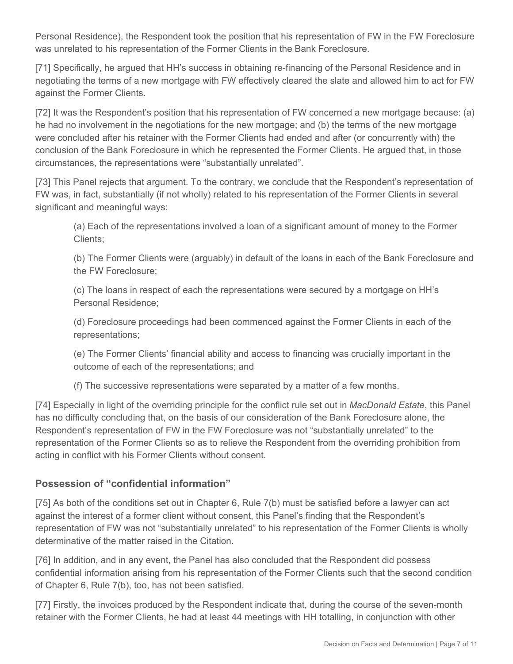Personal Residence), the Respondent took the position that his representation of FW in the FW Foreclosure was unrelated to his representation of the Former Clients in the Bank Foreclosure.

[71] Specifically, he argued that HH's success in obtaining re-financing of the Personal Residence and in negotiating the terms of a new mortgage with FW effectively cleared the slate and allowed him to act for FW against the Former Clients.

[72] It was the Respondent's position that his representation of FW concerned a new mortgage because: (a) he had no involvement in the negotiations for the new mortgage; and (b) the terms of the new mortgage were concluded after his retainer with the Former Clients had ended and after (or concurrently with) the conclusion of the Bank Foreclosure in which he represented the Former Clients. He argued that, in those circumstances, the representations were "substantially unrelated".

[73] This Panel rejects that argument. To the contrary, we conclude that the Respondent's representation of FW was, in fact, substantially (if not wholly) related to his representation of the Former Clients in several significant and meaningful ways:

(a) Each of the representations involved a loan of a significant amount of money to the Former Clients;

(b) The Former Clients were (arguably) in default of the loans in each of the Bank Foreclosure and the FW Foreclosure;

(c) The loans in respect of each the representations were secured by a mortgage on HH's Personal Residence;

(d) Foreclosure proceedings had been commenced against the Former Clients in each of the representations;

(e) The Former Clients' financial ability and access to financing was crucially important in the outcome of each of the representations; and

(f) The successive representations were separated by a matter of a few months.

[74] Especially in light of the overriding principle for the conflict rule set out in *MacDonald Estate*, this Panel has no difficulty concluding that, on the basis of our consideration of the Bank Foreclosure alone, the Respondent's representation of FW in the FW Foreclosure was not "substantially unrelated" to the representation of the Former Clients so as to relieve the Respondent from the overriding prohibition from acting in conflict with his Former Clients without consent.

# **Possession of "confidential information"**

[75] As both of the conditions set out in Chapter 6, Rule 7(b) must be satisfied before a lawyer can act against the interest of a former client without consent, this Panel's finding that the Respondent's representation of FW was not "substantially unrelated" to his representation of the Former Clients is wholly determinative of the matter raised in the Citation.

[76] In addition, and in any event, the Panel has also concluded that the Respondent did possess confidential information arising from his representation of the Former Clients such that the second condition of Chapter 6, Rule 7(b), too, has not been satisfied.

[77] Firstly, the invoices produced by the Respondent indicate that, during the course of the seven-month retainer with the Former Clients, he had at least 44 meetings with HH totalling, in conjunction with other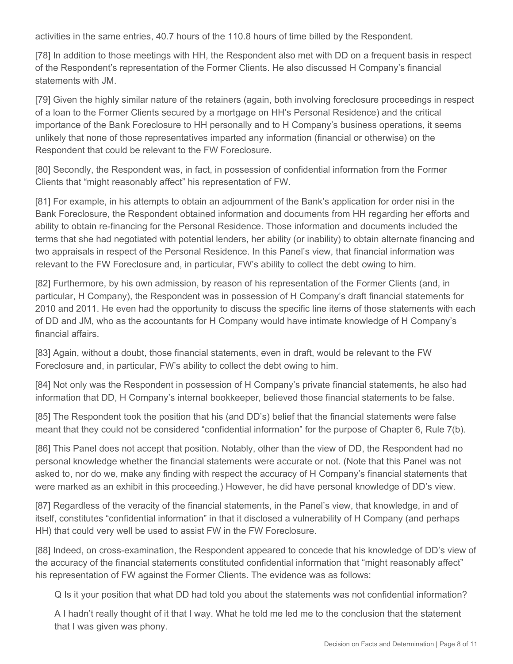activities in the same entries, 40.7 hours of the 110.8 hours of time billed by the Respondent.

[78] In addition to those meetings with HH, the Respondent also met with DD on a frequent basis in respect of the Respondent's representation of the Former Clients. He also discussed H Company's financial statements with JM.

[79] Given the highly similar nature of the retainers (again, both involving foreclosure proceedings in respect of a loan to the Former Clients secured by a mortgage on HH's Personal Residence) and the critical importance of the Bank Foreclosure to HH personally and to H Company's business operations, it seems unlikely that none of those representatives imparted any information (financial or otherwise) on the Respondent that could be relevant to the FW Foreclosure.

[80] Secondly, the Respondent was, in fact, in possession of confidential information from the Former Clients that "might reasonably affect" his representation of FW.

[81] For example, in his attempts to obtain an adjournment of the Bank's application for order nisi in the Bank Foreclosure, the Respondent obtained information and documents from HH regarding her efforts and ability to obtain re-financing for the Personal Residence. Those information and documents included the terms that she had negotiated with potential lenders, her ability (or inability) to obtain alternate financing and two appraisals in respect of the Personal Residence. In this Panel's view, that financial information was relevant to the FW Foreclosure and, in particular, FW's ability to collect the debt owing to him.

[82] Furthermore, by his own admission, by reason of his representation of the Former Clients (and, in particular, H Company), the Respondent was in possession of H Company's draft financial statements for 2010 and 2011. He even had the opportunity to discuss the specific line items of those statements with each of DD and JM, who as the accountants for H Company would have intimate knowledge of H Company's financial affairs.

[83] Again, without a doubt, those financial statements, even in draft, would be relevant to the FW Foreclosure and, in particular, FW's ability to collect the debt owing to him.

[84] Not only was the Respondent in possession of H Company's private financial statements, he also had information that DD, H Company's internal bookkeeper, believed those financial statements to be false.

[85] The Respondent took the position that his (and DD's) belief that the financial statements were false meant that they could not be considered "confidential information" for the purpose of Chapter 6, Rule 7(b).

[86] This Panel does not accept that position. Notably, other than the view of DD, the Respondent had no personal knowledge whether the financial statements were accurate or not. (Note that this Panel was not asked to, nor do we, make any finding with respect the accuracy of H Company's financial statements that were marked as an exhibit in this proceeding.) However, he did have personal knowledge of DD's view.

[87] Regardless of the veracity of the financial statements, in the Panel's view, that knowledge, in and of itself, constitutes "confidential information" in that it disclosed a vulnerability of H Company (and perhaps HH) that could very well be used to assist FW in the FW Foreclosure.

[88] Indeed, on cross-examination, the Respondent appeared to concede that his knowledge of DD's view of the accuracy of the financial statements constituted confidential information that "might reasonably affect" his representation of FW against the Former Clients. The evidence was as follows:

Q Is it your position that what DD had told you about the statements was not confidential information?

A I hadn't really thought of it that I way. What he told me led me to the conclusion that the statement that I was given was phony.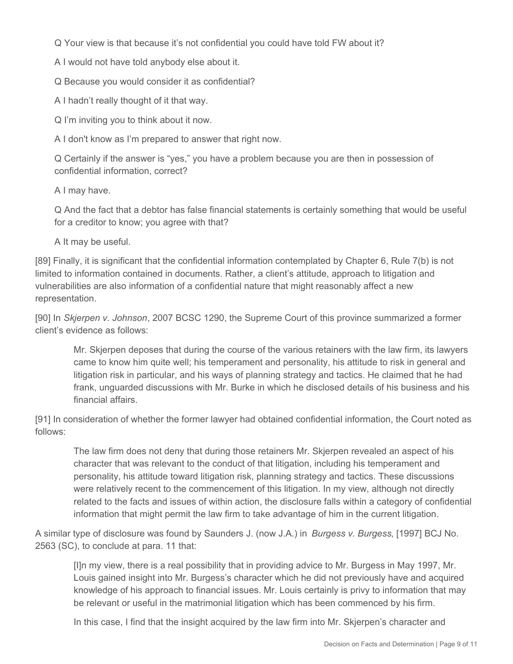Q Your view is that because it's not confidential you could have told FW about it?

A I would not have told anybody else about it.

Q Because you would consider it as confidential?

A I hadn't really thought of it that way.

Q I'm inviting you to think about it now.

A I don't know as I'm prepared to answer that right now.

Q Certainly if the answer is "yes," you have a problem because you are then in possession of confidential information, correct?

A I may have.

Q And the fact that a debtor has false financial statements is certainly something that would be useful for a creditor to know; you agree with that?

A It may be useful.

[89] Finally, it is significant that the confidential information contemplated by Chapter 6, Rule 7(b) is not limited to information contained in documents. Rather, a client's attitude, approach to litigation and vulnerabilities are also information of a confidential nature that might reasonably affect a new representation.

[90] In *Skjerpen v. Johnson*, 2007 BCSC 1290, the Supreme Court of this province summarized a former client's evidence as follows:

Mr. Skjerpen deposes that during the course of the various retainers with the law firm, its lawyers came to know him quite well; his temperament and personality, his attitude to risk in general and litigation risk in particular, and his ways of planning strategy and tactics. He claimed that he had frank, unguarded discussions with Mr. Burke in which he disclosed details of his business and his financial affairs.

[91] In consideration of whether the former lawyer had obtained confidential information, the Court noted as follows:

The law firm does not deny that during those retainers Mr. Skjerpen revealed an aspect of his character that was relevant to the conduct of that litigation, including his temperament and personality, his attitude toward litigation risk, planning strategy and tactics. These discussions were relatively recent to the commencement of this litigation. In my view, although not directly related to the facts and issues of within action, the disclosure falls within a category of confidential information that might permit the law firm to take advantage of him in the current litigation.

A similar type of disclosure was found by Saunders J. (now J.A.) in *Burgess v. Burgess*, [1997] BCJ No. 2563 (SC), to conclude at para. 11 that:

[I]n my view, there is a real possibility that in providing advice to Mr. Burgess in May 1997, Mr. Louis gained insight into Mr. Burgess's character which he did not previously have and acquired knowledge of his approach to financial issues. Mr. Louis certainly is privy to information that may be relevant or useful in the matrimonial litigation which has been commenced by his firm.

In this case, I find that the insight acquired by the law firm into Mr. Skjerpen's character and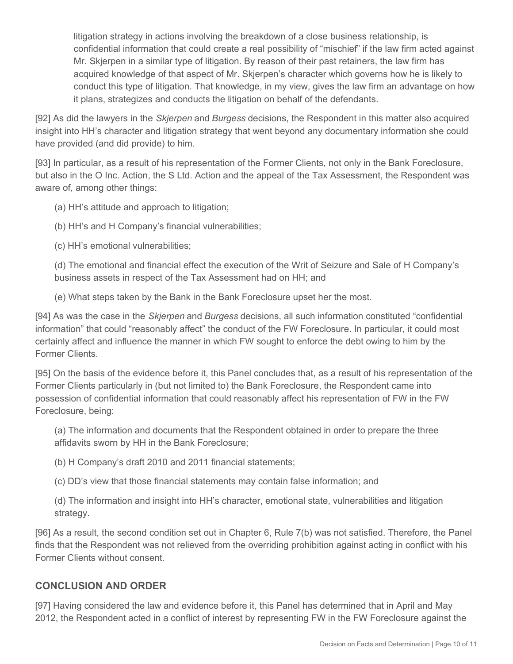litigation strategy in actions involving the breakdown of a close business relationship, is confidential information that could create a real possibility of "mischief" if the law firm acted against Mr. Skjerpen in a similar type of litigation. By reason of their past retainers, the law firm has acquired knowledge of that aspect of Mr. Skjerpen's character which governs how he is likely to conduct this type of litigation. That knowledge, in my view, gives the law firm an advantage on how it plans, strategizes and conducts the litigation on behalf of the defendants.

[92] As did the lawyers in the *Skjerpen* and *Burgess* decisions, the Respondent in this matter also acquired insight into HH's character and litigation strategy that went beyond any documentary information she could have provided (and did provide) to him.

[93] In particular, as a result of his representation of the Former Clients, not only in the Bank Foreclosure, but also in the O Inc. Action, the S Ltd. Action and the appeal of the Tax Assessment, the Respondent was aware of, among other things:

(a) HH's attitude and approach to litigation;

(b) HH's and H Company's financial vulnerabilities;

(c) HH's emotional vulnerabilities;

(d) The emotional and financial effect the execution of the Writ of Seizure and Sale of H Company's business assets in respect of the Tax Assessment had on HH; and

(e) What steps taken by the Bank in the Bank Foreclosure upset her the most.

[94] As was the case in the *Skjerpen* and *Burgess* decisions, all such information constituted "confidential information" that could "reasonably affect" the conduct of the FW Foreclosure. In particular, it could most certainly affect and influence the manner in which FW sought to enforce the debt owing to him by the Former Clients.

[95] On the basis of the evidence before it, this Panel concludes that, as a result of his representation of the Former Clients particularly in (but not limited to) the Bank Foreclosure, the Respondent came into possession of confidential information that could reasonably affect his representation of FW in the FW Foreclosure, being:

(a) The information and documents that the Respondent obtained in order to prepare the three affidavits sworn by HH in the Bank Foreclosure;

(b) H Company's draft 2010 and 2011 financial statements;

(c) DD's view that those financial statements may contain false information; and

(d) The information and insight into HH's character, emotional state, vulnerabilities and litigation strategy.

[96] As a result, the second condition set out in Chapter 6, Rule 7(b) was not satisfied. Therefore, the Panel finds that the Respondent was not relieved from the overriding prohibition against acting in conflict with his Former Clients without consent.

## **CONCLUSION AND ORDER**

[97] Having considered the law and evidence before it, this Panel has determined that in April and May 2012, the Respondent acted in a conflict of interest by representing FW in the FW Foreclosure against the